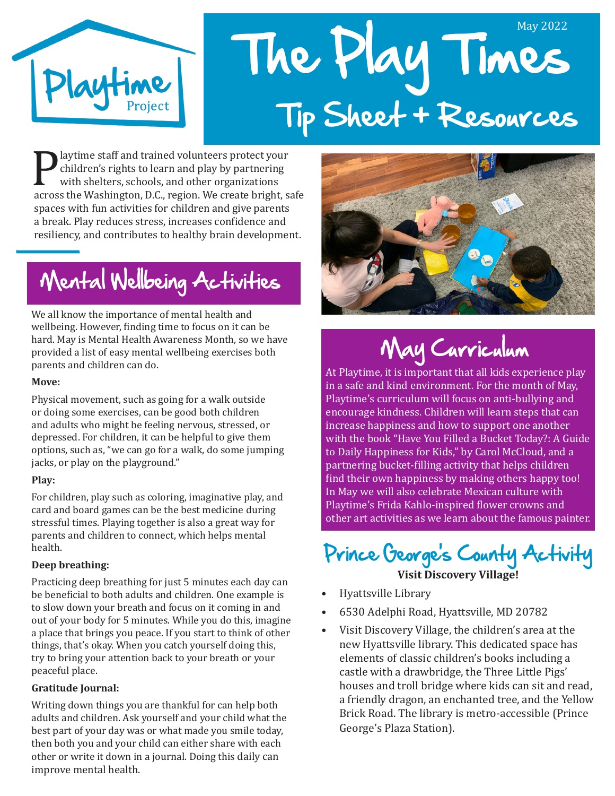

# The Play Times May 2022 Tip Sheet + Resources

**Playtime staff and trained volunteers protect your**<br>
children's rights to learn and play by partnering<br>
with shelters, schools, and other organizations<br>
across the Washington, D.C., region. We create bright, safe<br>
among w children's rights to learn and play by partnering with shelters, schools, and other organizations spaces with fun activities for children and give parents a break. Play reduces stress, increases confidence and resiliency, and contributes to healthy brain development.

## Mental Wellbeing Activities

We all know the importance of mental health and wellbeing. However, finding time to focus on it can be hard. May is Mental Health Awareness Month, so we have provided a list of easy mental wellbeing exercises both parents and children can do.

#### **Move:**

Physical movement, such as going for a walk outside or doing some exercises, can be good both children and adults who might be feeling nervous, stressed, or depressed. For children, it can be helpful to give them options, such as, "we can go for a walk, do some jumping jacks, or play on the playground."

#### **Play:**

For children, play such as coloring, imaginative play, and card and board games can be the best medicine during stressful times. Playing together is also a great way for parents and children to connect, which helps mental health.

#### **Deep breathing:**

Practicing deep breathing for just 5 minutes each day can be beneficial to both adults and children. One example is to slow down your breath and focus on it coming in and out of your body for 5 minutes. While you do this, imagine a place that brings you peace. If you start to think of other things, that's okay. When you catch yourself doing this, try to bring your attention back to your breath or your peaceful place.

#### **Gratitude Journal:**

Writing down things you are thankful for can help both adults and children. Ask yourself and your child what the best part of your day was or what made you smile today, then both you and your child can either share with each other or write it down in a journal. Doing this daily can improve mental health.



## May Curriculum

At Playtime, it is important that all kids experience play in a safe and kind environment. For the month of May, Playtime's curriculum will focus on anti-bullying and encourage kindness. Children will learn steps that can increase happiness and how to support one another with the book "Have You Filled a Bucket Today?: A Guide to Daily Happiness for Kids," by Carol McCloud, and a partnering bucket-filling activity that helps children find their own happiness by making others happy too! In May we will also celebrate Mexican culture with Playtime's Frida Kahlo-inspired flower crowns and other art activities as we learn about the famous painter.

Prince George's County Activity **Visit Discovery Village!**

- Hyattsville Library
- 6530 Adelphi Road, Hyattsville, MD 20782
- Visit Discovery Village, the children's area at the new Hyattsville library. This dedicated space has elements of classic children's books including a castle with a drawbridge, the Three Little Pigs' houses and troll bridge where kids can sit and read, a friendly dragon, an enchanted tree, and the Yellow Brick Road. The library is metro-accessible (Prince George's Plaza Station).